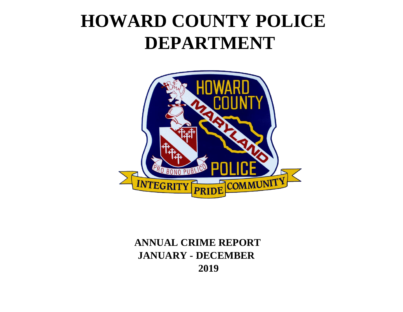# **HOWARD COUNTY POLICE DEPARTMENT**



## **2019 ANNUAL CRIME REPORT JANUARY - DECEMBER**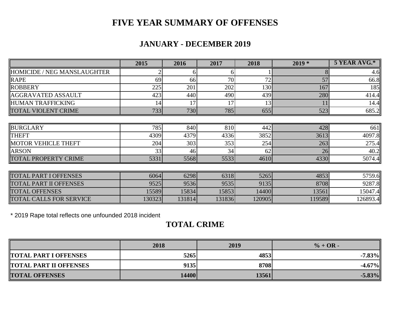### **FIVE YEAR SUMMARY OF OFFENSES**

#### **JANUARY - DECEMBER 2019**

|                                | 2015   | 2016   | 2017   | 2018   | $2019*$ | 5 YEAR AVG.* |
|--------------------------------|--------|--------|--------|--------|---------|--------------|
| HOMICIDE / NEG MANSLAUGHTER    |        |        |        |        |         | 4.6          |
| <b>RAPE</b>                    | 69     | 66     | 70     | 72     | 57      | 66.8         |
| ROBBERY                        | 225    | 201    | 202    | 130    | 167     | 185          |
| <b>AGGRAVATED ASSAULT</b>      | 423    | 440    | 490    | 439    | 280     | 414.4        |
| <b>HUMAN TRAFFICKING</b>       | 14     | 17     | 17     | 13     |         | 14.4         |
| <b>TOTAL VIOLENT CRIME</b>     | 733    | 730    | 785    | 655    | 523     | 685.2        |
|                                |        |        |        |        |         |              |
| BURGLARY                       | 785    | 840    | 810    | 442    | 428     | 661          |
| <b>THEFT</b>                   | 4309   | 4379   | 4336   | 3852   | 3613    | 4097.8       |
| <b>MOTOR VEHICLE THEFT</b>     | 204    | 303    | 353    | 254    | 263     | 275.4        |
| <b>ARSON</b>                   | 33     | 46     | 34     | 62     | 26      | 40.2         |
| <b>TOTAL PROPERTY CRIME</b>    | 5331   | 5568   | 5533   | 4610   | 4330    | 5074.4       |
|                                |        |        |        |        |         |              |
| <b>TOTAL PART I OFFENSES</b>   | 6064   | 6298   | 6318   | 5265   | 4853    | 5759.6       |
| <b>TOTAL PART II OFFENSES</b>  | 9525   | 9536   | 9535   | 9135   | 8708    | 9287.8       |
| <b>TOTAL OFFENSES</b>          | 15589  | 15834  | 15853  | 14400  | 13561   | 15047.41     |
| <b>TOTAL CALLS FOR SERVICE</b> | 130323 | 131814 | 131836 | 120905 | 119589  | 126893.4     |

\* 2019 Rape total reflects one unfounded 2018 incident

#### **TOTAL CRIME**

|                               | 2018  | 2019  | $\% + OR -$ |
|-------------------------------|-------|-------|-------------|
| <b>TOTAL PART I OFFENSES</b>  | 5265  | 4853  | $-7.83\%$   |
| <b>TOTAL PART II OFFENSES</b> | 9135  | 8708  | $-4.67\%$   |
| <b>TOTAL OFFENSES</b>         | 14400 | 13561 | $-5.83\%$   |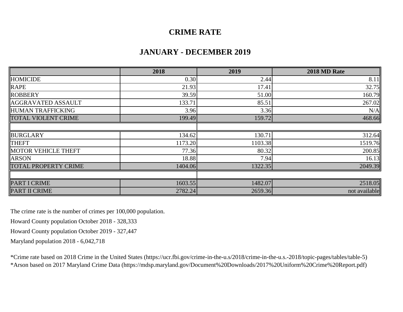#### **CRIME RATE**

#### **JANUARY - DECEMBER 2019**

|                             | 2018    | 2019    | 2018 MD Rate  |
|-----------------------------|---------|---------|---------------|
| <b>HOMICIDE</b>             | 0.30    | 2.44    | 8.11          |
| <b>RAPE</b>                 | 21.93   | 17.41   | 32.75         |
| ROBBERY                     | 39.59   | 51.00   | 160.79        |
| <b>AGGRAVATED ASSAULT</b>   | 133.71  | 85.51   | 267.02        |
| HUMAN TRAFFICKING           | 3.96    | 3.36    | N/A           |
| <b>TOTAL VIOLENT CRIME</b>  | 199.49  | 159.72  | 468.66        |
|                             |         |         |               |
| <b>BURGLARY</b>             | 134.62  | 130.71  | 312.64        |
| <b>THEFT</b>                | 1173.20 | 1103.38 | 1519.76       |
| MOTOR VEHICLE THEFT         | 77.36   | 80.32   | 200.85        |
| <b>ARSON</b>                | 18.88   | 7.94    | 16.13         |
| <b>TOTAL PROPERTY CRIME</b> | 1404.06 | 1322.35 | 2049.39       |
|                             |         |         |               |
| PART I CRIME                | 1603.55 | 1482.07 | 2518.05       |
| PART II CRIME               | 2782.24 | 2659.36 | not available |

The crime rate is the number of crimes per 100,000 population.

Howard County population October 2018 - 328,333

Howard County population October 2019 - 327,447

Maryland population 2018 - 6,042,718

\*Crime rate based on 2018 Crime in the United States (https://ucr.fbi.gov/crime-in-the-u.s/2018/crime-in-the-u.s.-2018/topic-pages/tables/table-5) \*Arson based on 2017 Maryland Crime Data (https://mdsp.maryland.gov/Document%20Downloads/2017%20Uniform%20Crime%20Report.pdf)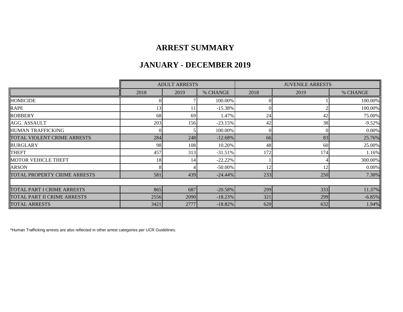#### **ARREST SUMMARY**

#### **JANUARY - DECEMBER 2019**

|                              |      | <b>ADULT ARRESTS</b> |            |      | <b>JUVENILE ARRESTS</b> |          |  |
|------------------------------|------|----------------------|------------|------|-------------------------|----------|--|
|                              | 2018 | 2019                 | % CHANGE   | 2018 | 2019                    | % CHANGE |  |
| <b>HOMICIDE</b>              |      |                      | 100.00%    |      |                         | 100.00%  |  |
| <b>RAPE</b>                  | 13   |                      | $-15.38%$  |      |                         | 100.00%  |  |
| <b>ROBBERY</b>               | 68   | 69                   | 1.47%      | 24   | 42                      | 75.00%   |  |
| AGG. ASSAULT                 | 203  | 156                  | $-23.15%$  | 42   | 38                      | $-9.52%$ |  |
| <b>HUMAN TRAFFICKING</b>     |      |                      | 100.00%    |      |                         | 0.00%    |  |
| TOTAL VIOLENT CRIME ARRESTS  | 284  | 248                  | $-12.68%$  | 66   | 83                      | 25.76%   |  |
| <b>BURGLARY</b>              | 98   | 108                  | 10.20%     | 48   | 60                      | 25.00%   |  |
| <b>THEFT</b>                 | 457  | 313                  | $-31.51\%$ | 172  | 174                     | 1.16%    |  |
| <b>MOTOR VEHICLE THEFT</b>   | 18   |                      | $-22.22%$  |      |                         | 300.00%  |  |
| <b>ARSON</b>                 |      |                      | $-50.00\%$ |      | 12                      | 0.00%    |  |
| TOTAL PROPERTY CRIME ARRESTS | 581  | 439                  | $-24.44\%$ | 233  | 250                     | 7.30%    |  |
|                              |      |                      |            |      |                         |          |  |
| TOTAL PART I CRIME ARRESTS   | 865  | 687                  | $-20.58%$  | 299  | 333                     | 11.37%   |  |
| TOTAL PART II CRIME ARRESTS  | 2556 | 2090                 | $-18.23\%$ | 321  | 299                     | $-6.85%$ |  |
| <b>TOTAL ARRESTS</b>         | 3421 | 2777                 | $-18.82%$  | 620  | 632                     | 1.94%    |  |

\*Human Trafficking arrests are also reflected in other arrest categories per UCR Guidelines.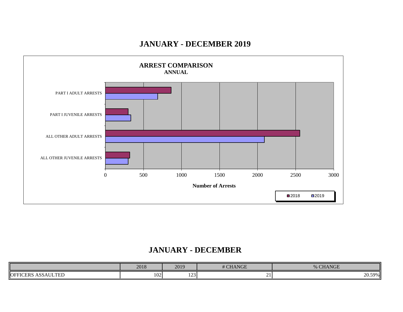#### **JANUARY - DECEMBER 2019**



#### **JANUARY - DECEMBER**

|                                     | 2018 | 2019       | <b># CHANGE</b> | <b>CHANGE</b><br>$\mathbf{a}$ |
|-------------------------------------|------|------------|-----------------|-------------------------------|
| <b>ASSAULTED</b><br><b>OFFICERS</b> | 102  | 102<br>1/4 | , .             | 20.59%                        |